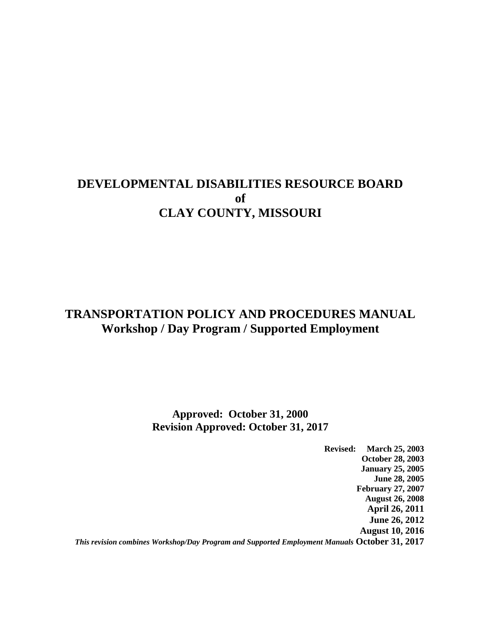## **DEVELOPMENTAL DISABILITIES RESOURCE BOARD of CLAY COUNTY, MISSOURI**

## **TRANSPORTATION POLICY AND PROCEDURES MANUAL Workshop / Day Program / Supported Employment**

#### **Approved: October 31, 2000 Revision Approved: October 31, 2017**

**Revised: March 25, 2003 October 28, 2003 January 25, 2005 June 28, 2005 February 27, 2007 August 26, 2008 April 26, 2011 June 26, 2012 August 10, 2016** *This revision combines Workshop/Day Program and Supported Employment Manuals* **October 31, 2017**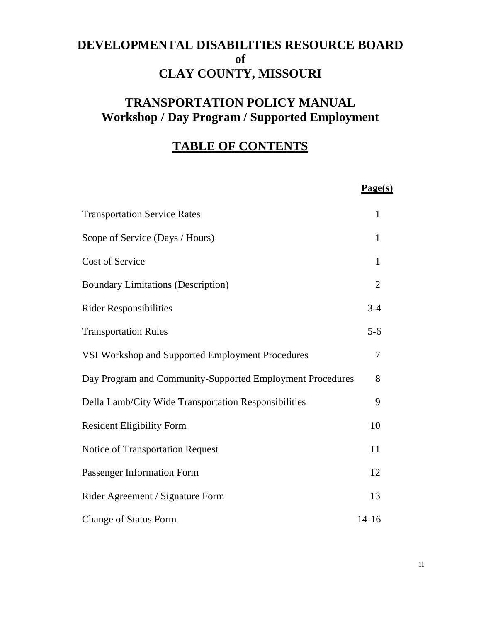# **DEVELOPMENTAL DISABILITIES RESOURCE BOARD of CLAY COUNTY, MISSOURI**

# **TRANSPORTATION POLICY MANUAL Workshop / Day Program / Supported Employment**

# **TABLE OF CONTENTS**

|                                                           | Page(s)        |
|-----------------------------------------------------------|----------------|
| <b>Transportation Service Rates</b>                       | 1              |
| Scope of Service (Days / Hours)                           | $\mathbf{1}$   |
| Cost of Service                                           | 1              |
| <b>Boundary Limitations (Description)</b>                 | $\overline{2}$ |
| <b>Rider Responsibilities</b>                             | $3 - 4$        |
| <b>Transportation Rules</b>                               | $5 - 6$        |
| VSI Workshop and Supported Employment Procedures          | $\overline{7}$ |
| Day Program and Community-Supported Employment Procedures | 8              |
| Della Lamb/City Wide Transportation Responsibilities      | 9              |
| <b>Resident Eligibility Form</b>                          | 10             |
| Notice of Transportation Request                          | 11             |
| Passenger Information Form                                | 12             |
| Rider Agreement / Signature Form                          | 13             |
| <b>Change of Status Form</b>                              | $14 - 16$      |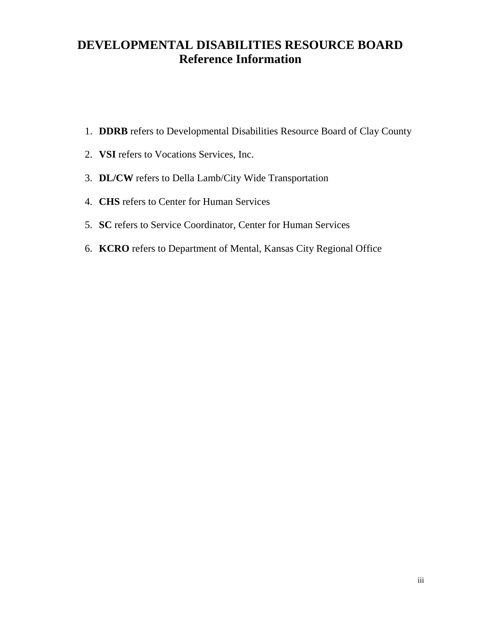## **DEVELOPMENTAL DISABILITIES RESOURCE BOARD Reference Information**

- 1. **DDRB** refers to Developmental Disabilities Resource Board of Clay County
- 2. **VSI** refers to Vocations Services, Inc.
- 3. **DL/CW** refers to Della Lamb/City Wide Transportation
- 4. **CHS** refers to Center for Human Services
- 5. **SC** refers to Service Coordinator, Center for Human Services
- 6. **KCRO** refers to Department of Mental, Kansas City Regional Office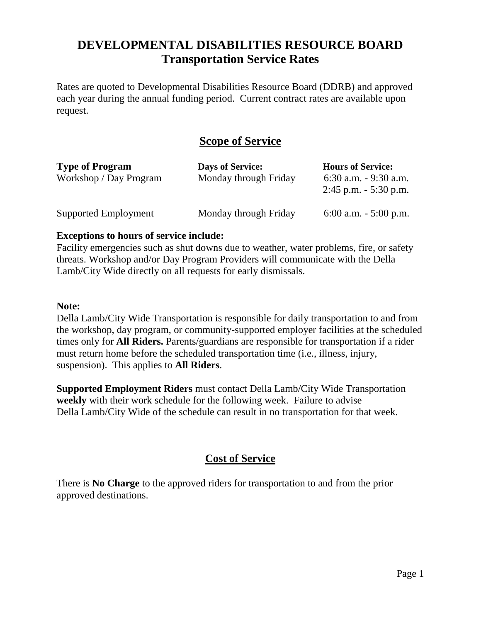## **DEVELOPMENTAL DISABILITIES RESOURCE BOARD Transportation Service Rates**

Rates are quoted to Developmental Disabilities Resource Board (DDRB) and approved each year during the annual funding period. Current contract rates are available upon request.

### **Scope of Service**

| <b>Type of Program</b><br>Workshop / Day Program | <b>Days of Service:</b><br>Monday through Friday | <b>Hours of Service:</b><br>$6:30$ a.m. $-9:30$ a.m.<br>$2:45$ p.m. $-5:30$ p.m. |
|--------------------------------------------------|--------------------------------------------------|----------------------------------------------------------------------------------|
| Supported Employment                             | Monday through Friday                            | 6:00 a.m. $-$ 5:00 p.m.                                                          |

#### **Exceptions to hours of service include:**

Facility emergencies such as shut downs due to weather, water problems, fire, or safety threats. Workshop and/or Day Program Providers will communicate with the Della Lamb/City Wide directly on all requests for early dismissals.

#### **Note:**

Della Lamb/City Wide Transportation is responsible for daily transportation to and from the workshop, day program, or community-supported employer facilities at the scheduled times only for **All Riders.** Parents/guardians are responsible for transportation if a rider must return home before the scheduled transportation time (i.e., illness, injury, suspension). This applies to **All Riders**.

**Supported Employment Riders** must contact Della Lamb/City Wide Transportation **weekly** with their work schedule for the following week. Failure to advise Della Lamb/City Wide of the schedule can result in no transportation for that week.

### **Cost of Service**

There is **No Charge** to the approved riders for transportation to and from the prior approved destinations.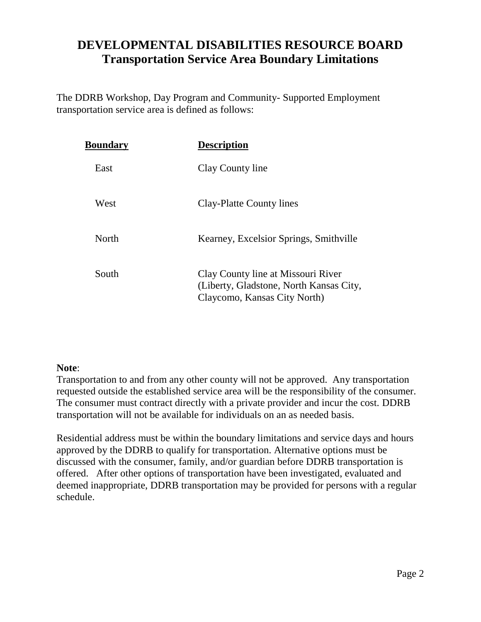## **DEVELOPMENTAL DISABILITIES RESOURCE BOARD Transportation Service Area Boundary Limitations**

The DDRB Workshop, Day Program and Community- Supported Employment transportation service area is defined as follows:

| <b>Boundary</b> | <b>Description</b>                                                                                            |
|-----------------|---------------------------------------------------------------------------------------------------------------|
| East            | Clay County line                                                                                              |
| West            | Clay-Platte County lines                                                                                      |
| North           | Kearney, Excelsior Springs, Smithville                                                                        |
| South           | Clay County line at Missouri River<br>(Liberty, Gladstone, North Kansas City,<br>Claycomo, Kansas City North) |

#### **Note**:

Transportation to and from any other county will not be approved. Any transportation requested outside the established service area will be the responsibility of the consumer. The consumer must contract directly with a private provider and incur the cost. DDRB transportation will not be available for individuals on an as needed basis.

Residential address must be within the boundary limitations and service days and hours approved by the DDRB to qualify for transportation. Alternative options must be discussed with the consumer, family, and/or guardian before DDRB transportation is offered. After other options of transportation have been investigated, evaluated and deemed inappropriate, DDRB transportation may be provided for persons with a regular schedule.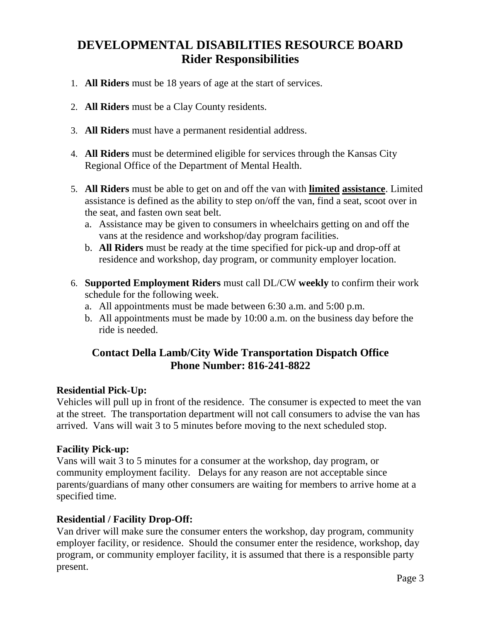# **DEVELOPMENTAL DISABILITIES RESOURCE BOARD Rider Responsibilities**

- 1. **All Riders** must be 18 years of age at the start of services.
- 2. **All Riders** must be a Clay County residents.
- 3. **All Riders** must have a permanent residential address.
- 4. **All Riders** must be determined eligible for services through the Kansas City Regional Office of the Department of Mental Health.
- 5. **All Riders** must be able to get on and off the van with **limited assistance**. Limited assistance is defined as the ability to step on/off the van, find a seat, scoot over in the seat, and fasten own seat belt.
	- a. Assistance may be given to consumers in wheelchairs getting on and off the vans at the residence and workshop/day program facilities.
	- b. **All Riders** must be ready at the time specified for pick-up and drop-off at residence and workshop, day program, or community employer location.
- 6. **Supported Employment Riders** must call DL/CW **weekly** to confirm their work schedule for the following week.
	- a. All appointments must be made between 6:30 a.m. and 5:00 p.m.
	- b. All appointments must be made by 10:00 a.m. on the business day before the ride is needed.

### **Contact Della Lamb/City Wide Transportation Dispatch Office Phone Number: 816-241-8822**

#### **Residential Pick-Up:**

Vehicles will pull up in front of the residence. The consumer is expected to meet the van at the street. The transportation department will not call consumers to advise the van has arrived. Vans will wait 3 to 5 minutes before moving to the next scheduled stop.

#### **Facility Pick-up:**

Vans will wait 3 to 5 minutes for a consumer at the workshop, day program, or community employment facility. Delays for any reason are not acceptable since parents/guardians of many other consumers are waiting for members to arrive home at a specified time.

#### **Residential / Facility Drop-Off:**

Van driver will make sure the consumer enters the workshop, day program, community employer facility, or residence. Should the consumer enter the residence, workshop, day program, or community employer facility, it is assumed that there is a responsible party present.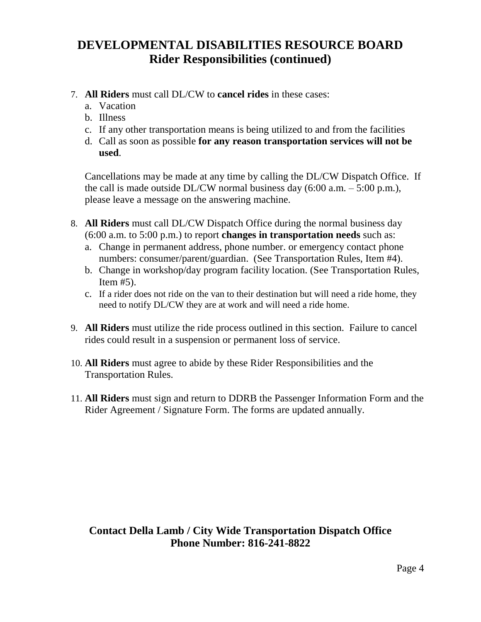## **DEVELOPMENTAL DISABILITIES RESOURCE BOARD Rider Responsibilities (continued)**

- 7. **All Riders** must call DL/CW to **cancel rides** in these cases:
	- a. Vacation
	- b. Illness
	- c. If any other transportation means is being utilized to and from the facilities
	- d. Call as soon as possible **for any reason transportation services will not be used**.

Cancellations may be made at any time by calling the DL/CW Dispatch Office. If the call is made outside DL/CW normal business day  $(6:00 \text{ a.m.} - 5:00 \text{ p.m.}),$ please leave a message on the answering machine.

- 8. **All Riders** must call DL/CW Dispatch Office during the normal business day (6:00 a.m. to 5:00 p.m.) to report **changes in transportation needs** such as:
	- a. Change in permanent address, phone number. or emergency contact phone numbers: consumer/parent/guardian. (See Transportation Rules, Item #4).
	- b. Change in workshop/day program facility location. (See Transportation Rules, Item #5).
	- c. If a rider does not ride on the van to their destination but will need a ride home, they need to notify DL/CW they are at work and will need a ride home.
- 9. **All Riders** must utilize the ride process outlined in this section. Failure to cancel rides could result in a suspension or permanent loss of service.
- 10. **All Riders** must agree to abide by these Rider Responsibilities and the Transportation Rules.
- 11. **All Riders** must sign and return to DDRB the Passenger Information Form and the Rider Agreement / Signature Form. The forms are updated annually.

#### **Contact Della Lamb / City Wide Transportation Dispatch Office Phone Number: 816-241-8822**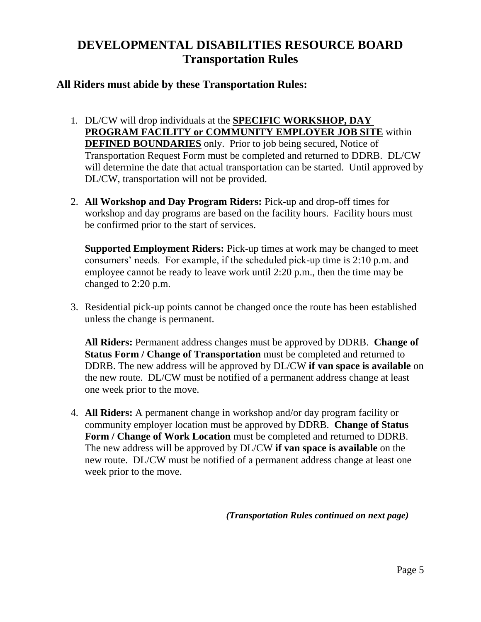# **DEVELOPMENTAL DISABILITIES RESOURCE BOARD Transportation Rules**

#### **All Riders must abide by these Transportation Rules:**

- 1. DL/CW will drop individuals at the **SPECIFIC WORKSHOP, DAY PROGRAM FACILITY or COMMUNITY EMPLOYER JOB SITE** within **DEFINED BOUNDARIES** only. Prior to job being secured, Notice of Transportation Request Form must be completed and returned to DDRB. DL/CW will determine the date that actual transportation can be started. Until approved by DL/CW, transportation will not be provided.
- 2. **All Workshop and Day Program Riders:** Pick-up and drop-off times for workshop and day programs are based on the facility hours. Facility hours must be confirmed prior to the start of services.

**Supported Employment Riders:** Pick-up times at work may be changed to meet consumers' needs. For example, if the scheduled pick-up time is 2:10 p.m. and employee cannot be ready to leave work until 2:20 p.m., then the time may be changed to 2:20 p.m.

3. Residential pick-up points cannot be changed once the route has been established unless the change is permanent.

**All Riders:** Permanent address changes must be approved by DDRB. **Change of Status Form / Change of Transportation** must be completed and returned to DDRB. The new address will be approved by DL/CW **if van space is available** on the new route.DL/CW must be notified of a permanent address change at least one week prior to the move.

4. **All Riders:** A permanent change in workshop and/or day program facility or community employer location must be approved by DDRB. **Change of Status Form / Change of Work Location** must be completed and returned to DDRB. The new address will be approved by DL/CW **if van space is available** on the new route.DL/CW must be notified of a permanent address change at least one week prior to the move.

*(Transportation Rules continued on next page)*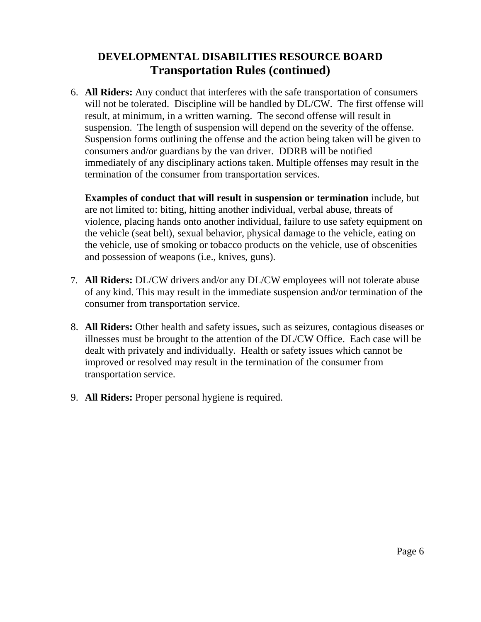### **DEVELOPMENTAL DISABILITIES RESOURCE BOARD Transportation Rules (continued)**

6. **All Riders:** Any conduct that interferes with the safe transportation of consumers will not be tolerated. Discipline will be handled by  $DL/CW$ . The first offense will result, at minimum, in a written warning. The second offense will result in suspension. The length of suspension will depend on the severity of the offense. Suspension forms outlining the offense and the action being taken will be given to consumers and/or guardians by the van driver. DDRB will be notified immediately of any disciplinary actions taken. Multiple offenses may result in the termination of the consumer from transportation services.

**Examples of conduct that will result in suspension or termination** include, but are not limited to: biting, hitting another individual, verbal abuse, threats of violence, placing hands onto another individual, failure to use safety equipment on the vehicle (seat belt), sexual behavior, physical damage to the vehicle, eating on the vehicle, use of smoking or tobacco products on the vehicle, use of obscenities and possession of weapons (i.e., knives, guns).

- 7. **All Riders:** DL/CW drivers and/or any DL/CW employees will not tolerate abuse of any kind. This may result in the immediate suspension and/or termination of the consumer from transportation service.
- 8. **All Riders:** Other health and safety issues, such as seizures, contagious diseases or illnesses must be brought to the attention of the DL/CW Office. Each case will be dealt with privately and individually. Health or safety issues which cannot be improved or resolved may result in the termination of the consumer from transportation service.
- 9. **All Riders:** Proper personal hygiene is required.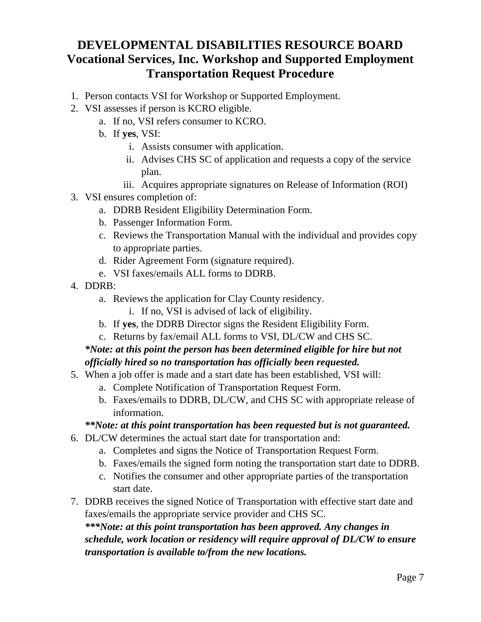## **DEVELOPMENTAL DISABILITIES RESOURCE BOARD Vocational Services, Inc. Workshop and Supported Employment Transportation Request Procedure**

- 1. Person contacts VSI for Workshop or Supported Employment.
- 2. VSI assesses if person is KCRO eligible.
	- a. If no, VSI refers consumer to KCRO.
	- b. If **yes**, VSI:
		- i. Assists consumer with application.
		- ii. Advises CHS SC of application and requests a copy of the service plan.
		- iii. Acquires appropriate signatures on Release of Information (ROI)
- 3. VSI ensures completion of:
	- a. DDRB Resident Eligibility Determination Form.
	- b. Passenger Information Form.
	- c. Reviews the Transportation Manual with the individual and provides copy to appropriate parties.
	- d. Rider Agreement Form (signature required).
	- e. VSI faxes/emails ALL forms to DDRB.
- 4. DDRB:
	- a. Reviews the application for Clay County residency.
		- i. If no, VSI is advised of lack of eligibility.
	- b. If **yes**, the DDRB Director signs the Resident Eligibility Form.
	- c. Returns by fax/email ALL forms to VSI, DL/CW and CHS SC.

### *\*Note: at this point the person has been determined eligible for hire but not officially hired so no transportation has officially been requested.*

- 5. When a job offer is made and a start date has been established, VSI will:
	- a. Complete Notification of Transportation Request Form.
	- b. Faxes/emails to DDRB, DL/CW, and CHS SC with appropriate release of information.

### *\*\*Note: at this point transportation has been requested but is not guaranteed.*

- 6. DL/CW determines the actual start date for transportation and:
	- a. Completes and signs the Notice of Transportation Request Form.
	- b. Faxes/emails the signed form noting the transportation start date to DDRB.
	- c. Notifies the consumer and other appropriate parties of the transportation start date.
- 7. DDRB receives the signed Notice of Transportation with effective start date and faxes/emails the appropriate service provider and CHS SC.

*\*\*\*Note: at this point transportation has been approved. Any changes in schedule, work location or residency will require approval of DL/CW to ensure transportation is available to/from the new locations.*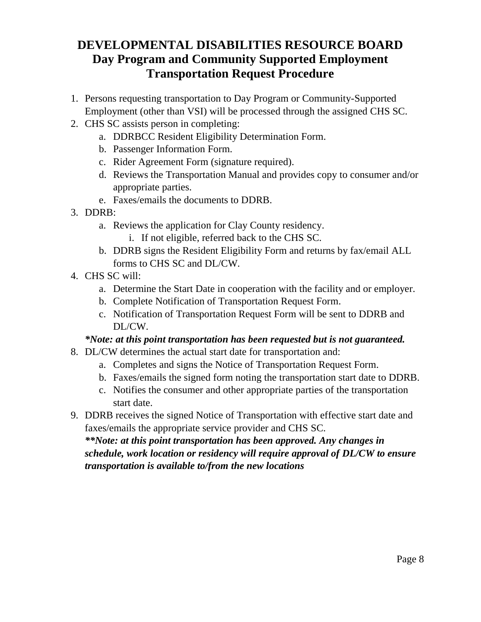## **DEVELOPMENTAL DISABILITIES RESOURCE BOARD Day Program and Community Supported Employment Transportation Request Procedure**

- 1. Persons requesting transportation to Day Program or Community-Supported Employment (other than VSI) will be processed through the assigned CHS SC.
- 2. CHS SC assists person in completing:
	- a. DDRBCC Resident Eligibility Determination Form.
	- b. Passenger Information Form.
	- c. Rider Agreement Form (signature required).
	- d. Reviews the Transportation Manual and provides copy to consumer and/or appropriate parties.
	- e. Faxes/emails the documents to DDRB.
- 3. DDRB:
	- a. Reviews the application for Clay County residency.
		- i. If not eligible, referred back to the CHS SC.
	- b. DDRB signs the Resident Eligibility Form and returns by fax/email ALL forms to CHS SC and DL/CW.
- 4. CHS SC will:
	- a. Determine the Start Date in cooperation with the facility and or employer.
	- b. Complete Notification of Transportation Request Form.
	- c. Notification of Transportation Request Form will be sent to DDRB and DL/CW.

### *\*Note: at this point transportation has been requested but is not guaranteed.*

- 8. DL/CW determines the actual start date for transportation and:
	- a. Completes and signs the Notice of Transportation Request Form.
	- b. Faxes/emails the signed form noting the transportation start date to DDRB.
	- c. Notifies the consumer and other appropriate parties of the transportation start date.
- 9. DDRB receives the signed Notice of Transportation with effective start date and faxes/emails the appropriate service provider and CHS SC.

*\*\*Note: at this point transportation has been approved. Any changes in schedule, work location or residency will require approval of DL/CW to ensure transportation is available to/from the new locations*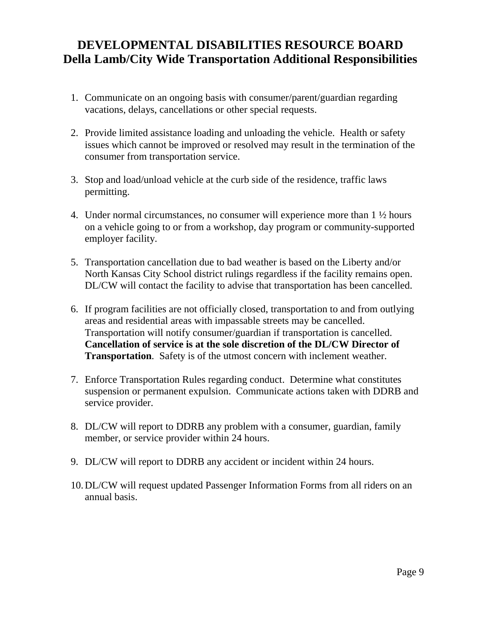## **DEVELOPMENTAL DISABILITIES RESOURCE BOARD Della Lamb/City Wide Transportation Additional Responsibilities**

- 1. Communicate on an ongoing basis with consumer/parent/guardian regarding vacations, delays, cancellations or other special requests.
- 2. Provide limited assistance loading and unloading the vehicle. Health or safety issues which cannot be improved or resolved may result in the termination of the consumer from transportation service.
- 3. Stop and load/unload vehicle at the curb side of the residence, traffic laws permitting.
- 4. Under normal circumstances, no consumer will experience more than 1 ½ hours on a vehicle going to or from a workshop, day program or community-supported employer facility.
- 5. Transportation cancellation due to bad weather is based on the Liberty and/or North Kansas City School district rulings regardless if the facility remains open. DL/CW will contact the facility to advise that transportation has been cancelled.
- 6. If program facilities are not officially closed, transportation to and from outlying areas and residential areas with impassable streets may be cancelled. Transportation will notify consumer/guardian if transportation is cancelled. **Cancellation of service is at the sole discretion of the DL/CW Director of Transportation**. Safety is of the utmost concern with inclement weather.
- 7. Enforce Transportation Rules regarding conduct. Determine what constitutes suspension or permanent expulsion. Communicate actions taken with DDRB and service provider.
- 8. DL/CW will report to DDRB any problem with a consumer, guardian, family member, or service provider within 24 hours.
- 9. DL/CW will report to DDRB any accident or incident within 24 hours.
- 10.DL/CW will request updated Passenger Information Forms from all riders on an annual basis.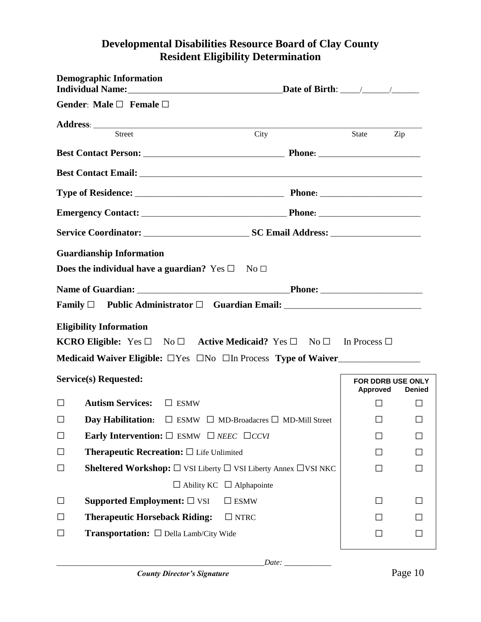### **Developmental Disabilities Resource Board of Clay County Resident Eligibility Determination**

|        | <b>Demographic Information</b>                                                                            |      |                               |               |
|--------|-----------------------------------------------------------------------------------------------------------|------|-------------------------------|---------------|
|        | Gender: Male $\square$ Female $\square$                                                                   |      |                               |               |
|        |                                                                                                           |      |                               |               |
|        | <b>Street</b>                                                                                             | City | State Zip                     |               |
|        |                                                                                                           |      |                               |               |
|        |                                                                                                           |      |                               |               |
|        |                                                                                                           |      |                               |               |
|        |                                                                                                           |      |                               |               |
|        |                                                                                                           |      |                               |               |
|        | <b>Guardianship Information</b>                                                                           |      |                               |               |
|        | Does the individual have a guardian? Yes $\square$ No $\square$                                           |      |                               |               |
|        |                                                                                                           |      |                               |               |
|        | Family $\Box$ Public Administrator $\Box$ Guardian Email: ___________________________                     |      |                               |               |
|        | <b>Eligibility Information</b>                                                                            |      |                               |               |
|        | <b>KCRO Eligible:</b> Yes $\Box$ No $\Box$ <b>Active Medicaid?</b> Yes $\Box$ No $\Box$ In Process $\Box$ |      |                               |               |
|        | Medicaid Waiver Eligible: $\Box$ Yes $\Box$ No $\Box$ In Process Type of Waiver                           |      |                               |               |
|        | Service(s) Requested:                                                                                     |      | FOR DDRB USE ONLY<br>Approved | <b>Denied</b> |
| □      | <b>Autism Services:</b><br>$\Box$ ESMW                                                                    |      | $\perp$                       |               |
| $\Box$ | <b>Day Habilitation:</b> $\Box$ ESMW $\Box$ MD-Broadacres $\Box$ MD-Mill Street                           |      | П                             | П             |
| $\Box$ | <b>Early Intervention:</b> $\square$ ESMW $\square$ <i>NEEC</i> $\square$ <i>CCVI</i>                     |      |                               |               |
| $\Box$ | <b>Therapeutic Recreation:</b> $\square$ Life Unlimited                                                   |      |                               |               |
| $\Box$ | <b>Sheltered Workshop:</b> $\square$ VSI Liberty $\square$ VSI Liberty Annex $\square$ VSI NKC            |      |                               |               |
|        | $\Box$ Ability KC $\Box$ Alphapointe                                                                      |      |                               |               |
| $\Box$ | Supported Employment: $\square$ VSI<br>$\Box$ ESMW                                                        |      | ΙI                            |               |
| $\Box$ | <b>Therapeutic Horseback Riding:</b><br>$\Box$ NTRC                                                       |      |                               |               |
| $\Box$ | <b>Transportation:</b> □ Della Lamb/City Wide                                                             |      | ΙI                            |               |
|        |                                                                                                           |      |                               |               |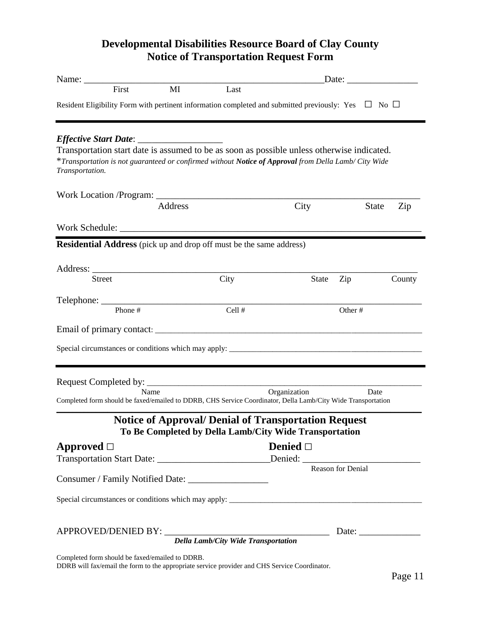### **Developmental Disabilities Resource Board of Clay County Notice of Transportation Request Form**

| Name: Name and the second contract of the second contract of the second contract of the second contract of the second contract of the second contract of the second contract of the second contract of the second contract of |         |                                                                                                                       |                  | Date: $\qquad \qquad$ |        |
|-------------------------------------------------------------------------------------------------------------------------------------------------------------------------------------------------------------------------------|---------|-----------------------------------------------------------------------------------------------------------------------|------------------|-----------------------|--------|
| First                                                                                                                                                                                                                         | MI      | Last                                                                                                                  |                  |                       |        |
| Resident Eligibility Form with pertinent information completed and submitted previously: Yes $\Box$ No $\Box$                                                                                                                 |         |                                                                                                                       |                  |                       |        |
|                                                                                                                                                                                                                               |         |                                                                                                                       |                  |                       |        |
| Transportation start date is assumed to be as soon as possible unless otherwise indicated.<br>*Transportation is not guaranteed or confirmed without Notice of Approval from Della Lamb/ City Wide<br>Transportation.         |         |                                                                                                                       |                  |                       |        |
|                                                                                                                                                                                                                               |         |                                                                                                                       |                  |                       |        |
|                                                                                                                                                                                                                               | Address |                                                                                                                       | City             | <b>State</b>          | Zip    |
|                                                                                                                                                                                                                               |         |                                                                                                                       |                  |                       |        |
| Residential Address (pick up and drop off must be the same address)                                                                                                                                                           |         |                                                                                                                       |                  |                       |        |
|                                                                                                                                                                                                                               |         |                                                                                                                       |                  |                       |        |
| <b>Street</b>                                                                                                                                                                                                                 |         | City                                                                                                                  | State            | Zip                   | County |
|                                                                                                                                                                                                                               |         |                                                                                                                       |                  |                       |        |
| Phone #                                                                                                                                                                                                                       |         | Cell #                                                                                                                |                  | Other#                |        |
|                                                                                                                                                                                                                               |         |                                                                                                                       |                  |                       |        |
|                                                                                                                                                                                                                               |         |                                                                                                                       |                  |                       |        |
|                                                                                                                                                                                                                               |         |                                                                                                                       |                  |                       |        |
|                                                                                                                                                                                                                               | Name    |                                                                                                                       | Organization     | Date                  |        |
| Completed form should be faxed/emailed to DDRB, CHS Service Coordinator, Della Lamb/City Wide Transportation                                                                                                                  |         |                                                                                                                       |                  |                       |        |
|                                                                                                                                                                                                                               |         | <b>Notice of Approval/ Denial of Transportation Request</b><br>To Be Completed by Della Lamb/City Wide Transportation |                  |                       |        |
| Approved $\Box$                                                                                                                                                                                                               |         |                                                                                                                       | Denied $\square$ |                       |        |
|                                                                                                                                                                                                                               |         |                                                                                                                       |                  |                       |        |
| Consumer / Family Notified Date: _____________________                                                                                                                                                                        |         |                                                                                                                       |                  |                       |        |
|                                                                                                                                                                                                                               |         |                                                                                                                       |                  |                       |        |
|                                                                                                                                                                                                                               |         |                                                                                                                       |                  |                       |        |
|                                                                                                                                                                                                                               |         | <b>Della Lamb/City Wide Transportation</b>                                                                            |                  |                       |        |

Completed form should be faxed/emailed to DDRB.

DDRB will fax/email the form to the appropriate service provider and CHS Service Coordinator.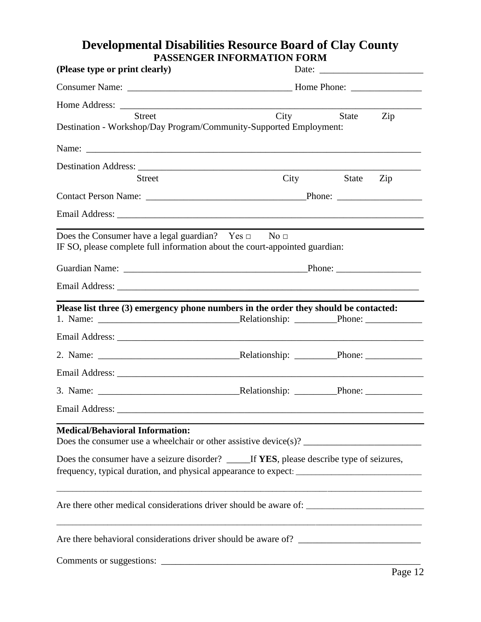### **Developmental Disabilities Resource Board of Clay County PASSENGER INFORMATION FORM**

| (Please type or print clearly)                                                                                                               |                                                                                                                                                                                                   |
|----------------------------------------------------------------------------------------------------------------------------------------------|---------------------------------------------------------------------------------------------------------------------------------------------------------------------------------------------------|
|                                                                                                                                              |                                                                                                                                                                                                   |
|                                                                                                                                              |                                                                                                                                                                                                   |
| <b>Street</b><br>Destination - Workshop/Day Program/Community-Supported Employment:                                                          | City<br>State<br>Zip                                                                                                                                                                              |
|                                                                                                                                              | Name:                                                                                                                                                                                             |
|                                                                                                                                              |                                                                                                                                                                                                   |
| <b>Street</b>                                                                                                                                | City<br>Zip<br>State                                                                                                                                                                              |
|                                                                                                                                              |                                                                                                                                                                                                   |
|                                                                                                                                              |                                                                                                                                                                                                   |
| Does the Consumer have a legal guardian? Yes $\Box$ No $\Box$<br>IF SO, please complete full information about the court-appointed guardian: |                                                                                                                                                                                                   |
|                                                                                                                                              |                                                                                                                                                                                                   |
|                                                                                                                                              |                                                                                                                                                                                                   |
|                                                                                                                                              | Please list three (3) emergency phone numbers in the order they should be contacted:                                                                                                              |
|                                                                                                                                              |                                                                                                                                                                                                   |
|                                                                                                                                              |                                                                                                                                                                                                   |
|                                                                                                                                              |                                                                                                                                                                                                   |
|                                                                                                                                              |                                                                                                                                                                                                   |
|                                                                                                                                              |                                                                                                                                                                                                   |
| <b>Medical/Behavioral Information:</b>                                                                                                       | Does the consumer use a wheelchair or other assistive device(s)? $\frac{1}{\sqrt{2\pi}}$                                                                                                          |
|                                                                                                                                              | Does the consumer have a seizure disorder? _____ If YES, please describe type of seizures,<br>frequency, typical duration, and physical appearance to expect: ___________________________________ |
|                                                                                                                                              |                                                                                                                                                                                                   |
|                                                                                                                                              |                                                                                                                                                                                                   |
|                                                                                                                                              |                                                                                                                                                                                                   |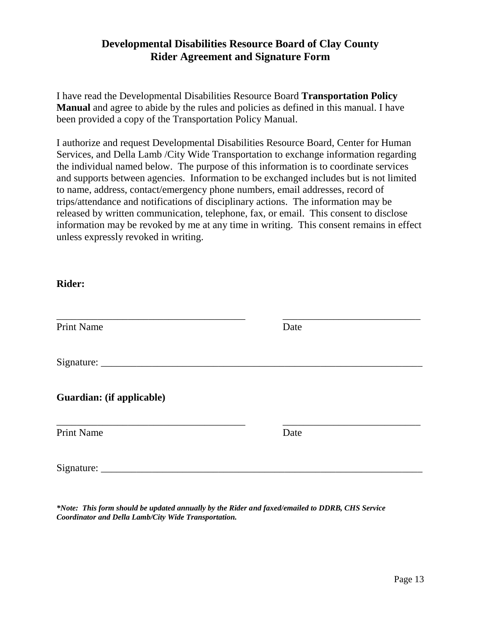#### **Developmental Disabilities Resource Board of Clay County Rider Agreement and Signature Form**

I have read the Developmental Disabilities Resource Board **Transportation Policy Manual** and agree to abide by the rules and policies as defined in this manual. I have been provided a copy of the Transportation Policy Manual.

I authorize and request Developmental Disabilities Resource Board, Center for Human Services, and Della Lamb /City Wide Transportation to exchange information regarding the individual named below. The purpose of this information is to coordinate services and supports between agencies. Information to be exchanged includes but is not limited to name, address, contact/emergency phone numbers, email addresses, record of trips/attendance and notifications of disciplinary actions. The information may be released by written communication, telephone, fax, or email. This consent to disclose information may be revoked by me at any time in writing. This consent remains in effect unless expressly revoked in writing.

#### **Rider:**

| <b>Print Name</b> | Date |
|-------------------|------|
|                   |      |

\_\_\_\_\_\_\_\_\_\_\_\_\_\_\_\_\_\_\_\_\_\_\_\_\_\_\_\_\_\_\_\_\_\_\_\_\_ \_\_\_\_\_\_\_\_\_\_\_\_\_\_\_\_\_\_\_\_\_\_\_\_\_\_\_

Signature:

**Guardian: (if applicable)**

Print Name Date

\_\_\_\_\_\_\_\_\_\_\_\_\_\_\_\_\_\_\_\_\_\_\_\_\_\_\_\_\_\_\_\_\_\_\_\_\_ \_\_\_\_\_\_\_\_\_\_\_\_\_\_\_\_\_\_\_\_\_\_\_\_\_\_\_

Signature:

*\*Note: This form should be updated annually by the Rider and faxed/emailed to DDRB, CHS Service Coordinator and Della Lamb/City Wide Transportation.*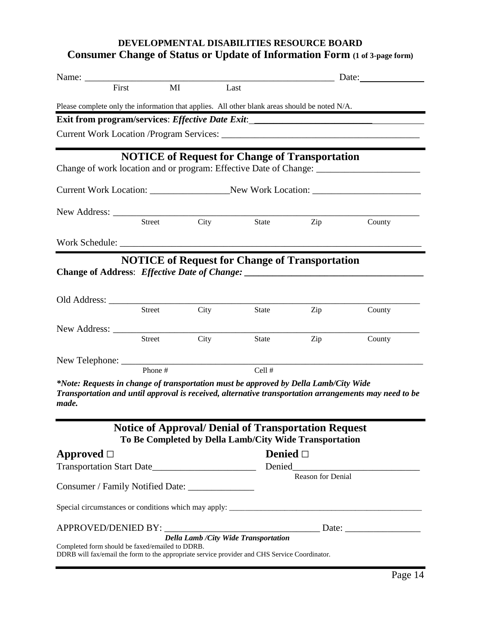### **DEVELOPMENTAL DISABILITIES RESOURCE BOARD Consumer Change of Status or Update of Information Form (1 of 3-page form)**

| First                                                                                                                                            | MI      |             | Last                                                                                                                  |                   |                                                                                                       |
|--------------------------------------------------------------------------------------------------------------------------------------------------|---------|-------------|-----------------------------------------------------------------------------------------------------------------------|-------------------|-------------------------------------------------------------------------------------------------------|
| Please complete only the information that applies. All other blank areas should be noted N/A.                                                    |         |             |                                                                                                                       |                   |                                                                                                       |
| Exit from program/services: Effective Date Exit: _______________________________                                                                 |         |             |                                                                                                                       |                   |                                                                                                       |
|                                                                                                                                                  |         |             |                                                                                                                       |                   |                                                                                                       |
|                                                                                                                                                  |         |             | <b>NOTICE</b> of Request for Change of Transportation                                                                 |                   | Change of work location and or program: Effective Date of Change:                                     |
|                                                                                                                                                  |         |             |                                                                                                                       |                   | Current Work Location: _________________________New Work Location: _________________________________  |
|                                                                                                                                                  |         |             |                                                                                                                       |                   |                                                                                                       |
|                                                                                                                                                  |         | Street City |                                                                                                                       | State Zip         | County                                                                                                |
|                                                                                                                                                  |         |             |                                                                                                                       |                   |                                                                                                       |
|                                                                                                                                                  |         |             | <b>NOTICE</b> of Request for Change of Transportation                                                                 |                   |                                                                                                       |
|                                                                                                                                                  |         |             |                                                                                                                       |                   |                                                                                                       |
|                                                                                                                                                  | Street  | City        | State                                                                                                                 | Zip               | County                                                                                                |
|                                                                                                                                                  | Street  | City        | State                                                                                                                 | Zip               | County                                                                                                |
|                                                                                                                                                  | Phone # |             | Cell #                                                                                                                |                   |                                                                                                       |
| *Note: Requests in change of transportation must be approved by Della Lamb/City Wide<br>made.                                                    |         |             |                                                                                                                       |                   | Transportation and until approval is received, alternative transportation arrangements may need to be |
|                                                                                                                                                  |         |             | <b>Notice of Approval/ Denial of Transportation Request</b><br>To Be Completed by Della Lamb/City Wide Transportation |                   |                                                                                                       |
| Approved $\Box$                                                                                                                                  |         |             | Denied $\square$                                                                                                      |                   |                                                                                                       |
|                                                                                                                                                  |         |             |                                                                                                                       | Reason for Denial |                                                                                                       |
| Consumer / Family Notified Date: ________________                                                                                                |         |             |                                                                                                                       |                   |                                                                                                       |
|                                                                                                                                                  |         |             |                                                                                                                       |                   |                                                                                                       |
|                                                                                                                                                  |         |             | Della Lamb / City Wide Transportation                                                                                 |                   |                                                                                                       |
| Completed form should be faxed/emailed to DDRB.<br>DDRB will fax/email the form to the appropriate service provider and CHS Service Coordinator. |         |             |                                                                                                                       |                   |                                                                                                       |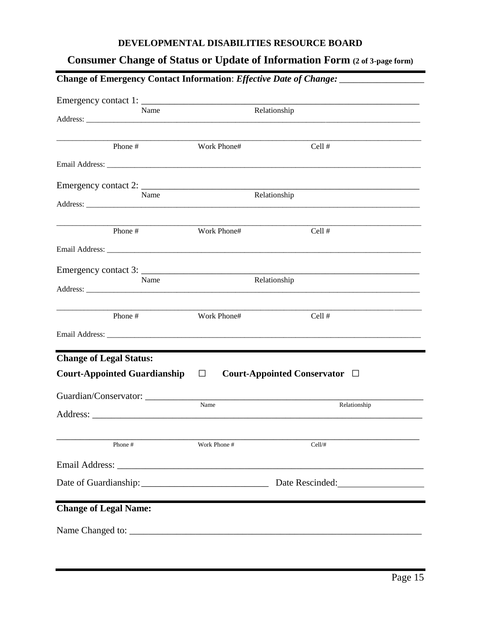#### DEVELOPMENTAL DISABILITIES RESOURCE BOARD

### **Consumer Change of Status or Update of Information Form (2 of 3-page form)**

|                                     |              | Change of Emergency Contact Information: Effective Date of Change: ______________ |
|-------------------------------------|--------------|-----------------------------------------------------------------------------------|
| Name                                |              | Relationship                                                                      |
| Phone #                             | Work Phone#  | Cell #                                                                            |
|                                     |              |                                                                                   |
| Name                                |              | Relationship                                                                      |
| Phone #                             | Work Phone#  | Cell #                                                                            |
|                                     |              |                                                                                   |
| Emergency contact 3:<br>Name        |              | Relationship                                                                      |
| Phone #                             | Work Phone#  | Cell #                                                                            |
|                                     |              |                                                                                   |
| <b>Change of Legal Status:</b>      |              |                                                                                   |
| <b>Court-Appointed Guardianship</b> | $\Box$       | Court-Appointed Conservator $\Box$                                                |
|                                     | Name         | Relationship                                                                      |
| Phone #                             | Work Phone # | Cell/#                                                                            |
|                                     |              |                                                                                   |
|                                     |              | Date of Guardianship: Date Rescinded: Date Rescinded:                             |
| <b>Change of Legal Name:</b>        |              |                                                                                   |
|                                     |              |                                                                                   |